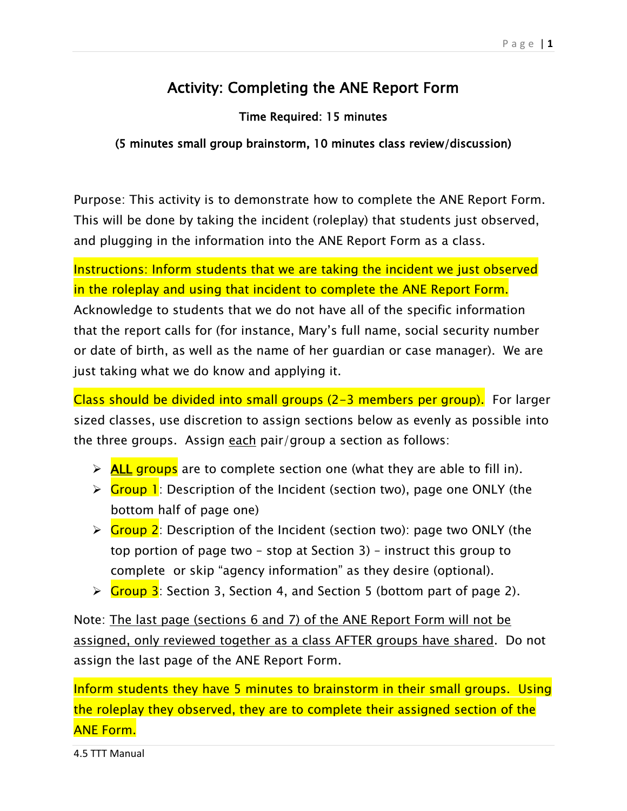## Activity: Completing the ANE Report Form

## Time Required: 15 minutes

## (5 minutes small group brainstorm, 10 minutes class review/discussion)

Purpose: This activity is to demonstrate how to complete the ANE Report Form. This will be done by taking the incident (roleplay) that students just observed, and plugging in the information into the ANE Report Form as a class.

Instructions: Inform students that we are taking the incident we just observed in the roleplay and using that incident to complete the ANE Report Form. Acknowledge to students that we do not have all of the specific information that the report calls for (for instance, Mary's full name, social security number or date of birth, as well as the name of her guardian or case manager). We are just taking what we do know and applying it.

Class should be divided into small groups (2-3 members per group). For larger sized classes, use discretion to assign sections below as evenly as possible into the three groups. Assign each pair/group a section as follows:

- $\triangleright$  **ALL groups** are to complete section one (what they are able to fill in).
- ► Group 1: Description of the Incident (section two), page one ONLY (the bottom half of page one)
- $\triangleright$  Group 2: Description of the Incident (section two): page two ONLY (the top portion of page two – stop at Section 3) – instruct this group to complete or skip "agency information" as they desire (optional).
- $\triangleright$  Group 3: Section 3, Section 4, and Section 5 (bottom part of page 2).

Note: The last page (sections 6 and 7) of the ANE Report Form will not be assigned, only reviewed together as a class AFTER groups have shared. Do not assign the last page of the ANE Report Form.

Inform students they have 5 minutes to brainstorm in their small groups. Using the roleplay they observed, they are to complete their assigned section of the ANE Form.